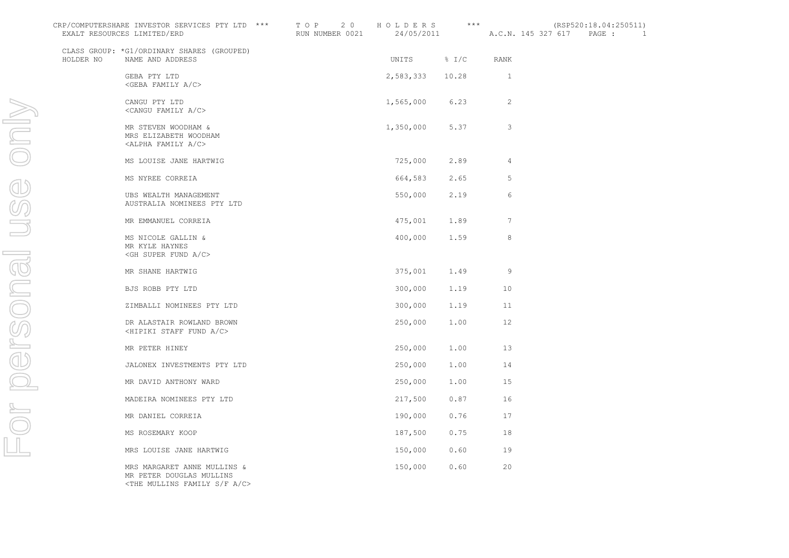| CRP/COMPUTERSHARE INVESTOR SERVICES PTY LTD *** TOP 20 HOLDERS *** (RSP520:18.04:250511)<br>EXALT RESOURCES LIMITED/ERD |                                                                                                                 | RUN NUMBER 0021 24/05/2011 A.C.N. 145 327 617 PAGE : 1 |                   |                 |              |  |  |
|-------------------------------------------------------------------------------------------------------------------------|-----------------------------------------------------------------------------------------------------------------|--------------------------------------------------------|-------------------|-----------------|--------------|--|--|
|                                                                                                                         | CLASS GROUP: *G1/ORDINARY SHARES (GROUPED)<br>HOLDER NO NAME AND ADDRESS                                        |                                                        | UNITS % I/C RANK  |                 |              |  |  |
|                                                                                                                         | GEBA PTY LTD<br>$\langle$ GEBA FAMILY A/C>                                                                      |                                                        | 2,583,333 10.28 1 |                 |              |  |  |
|                                                                                                                         | CANGU PTY LTD<br><cangu a="" c="" family=""></cangu>                                                            |                                                        | 1,565,000 6.23    |                 | 2            |  |  |
|                                                                                                                         | MR STEVEN WOODHAM &<br>MRS ELIZABETH WOODHAM<br><alpha a="" c="" family=""></alpha>                             |                                                        | 1,350,000         | 5.37            | $\mathbf{3}$ |  |  |
|                                                                                                                         | MS LOUISE JANE HARTWIG                                                                                          |                                                        | 725,000           | $2.89$ 4        |              |  |  |
|                                                                                                                         | MS NYREE CORREIA                                                                                                |                                                        |                   | 664,583 2.65    | 5            |  |  |
|                                                                                                                         | UBS WEALTH MANAGEMENT<br>AUSTRALIA NOMINEES PTY LTD                                                             |                                                        | 550,000           | 2.19            | 6            |  |  |
|                                                                                                                         | MR EMMANUEL CORREIA                                                                                             |                                                        |                   | 475,001 1.89    | 7            |  |  |
|                                                                                                                         | MS NICOLE GALLIN &<br>MR KYLE HAYNES<br><gh a="" c="" fund="" super=""></gh>                                    |                                                        |                   | 400,000 1.59    | $\,8\,$      |  |  |
|                                                                                                                         | MR SHANE HARTWIG                                                                                                |                                                        |                   | 375,001 1.49    | -9           |  |  |
|                                                                                                                         | BJS ROBB PTY LTD                                                                                                |                                                        |                   | 300,000 1.19 10 |              |  |  |
|                                                                                                                         | ZIMBALLI NOMINEES PTY LTD                                                                                       |                                                        |                   | 300,000 1.19 11 |              |  |  |
|                                                                                                                         | DR ALASTAIR ROWLAND BROWN<br><hipiki a="" c="" fund="" staff=""></hipiki>                                       |                                                        | 250,000           | $1.00$ 12       |              |  |  |
|                                                                                                                         | MR PETER HINEY                                                                                                  |                                                        | 250,000           | $1.00$ 13       |              |  |  |
|                                                                                                                         | JALONEX INVESTMENTS PTY LTD                                                                                     |                                                        | 250,000           | $1.00$ 14       |              |  |  |
|                                                                                                                         | MR DAVID ANTHONY WARD                                                                                           |                                                        | 250,000           | $1.00$ 15       |              |  |  |
|                                                                                                                         | MADEIRA NOMINEES PTY LTD                                                                                        |                                                        | 217,500           | 0.87            | 16           |  |  |
|                                                                                                                         | MR DANIEL CORREIA                                                                                               |                                                        | 190,000           | $0.76$ 17       |              |  |  |
|                                                                                                                         | MS ROSEMARY KOOP                                                                                                |                                                        | 187,500           | $0.75$ 18       |              |  |  |
|                                                                                                                         | MRS LOUISE JANE HARTWIG                                                                                         |                                                        | 150,000           | 0.60            | 19           |  |  |
|                                                                                                                         | MRS MARGARET ANNE MULLINS &<br>MR PETER DOUGLAS MULLINS<br><the a="" c="" f="" family="" mullins="" s=""></the> |                                                        | 150,000           | 0.60            | 20           |  |  |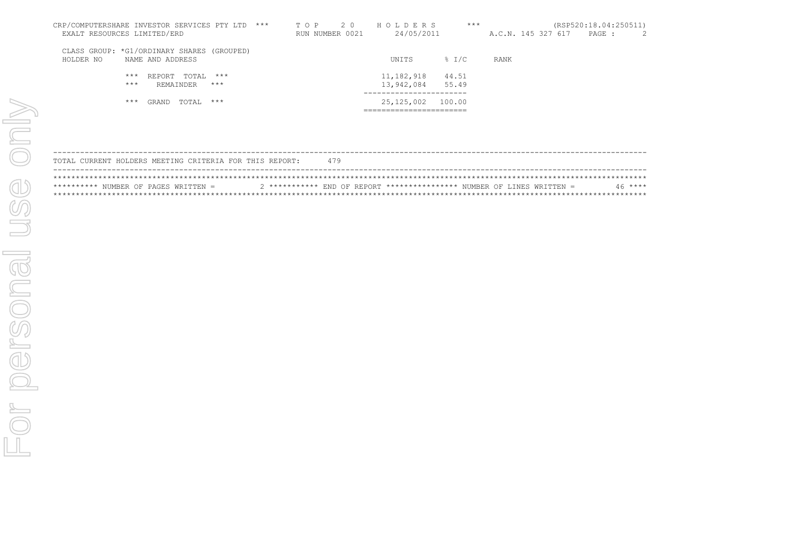| CRP/COMPUTERSHARE INVESTOR SERVICES PTY LTD ***                             | 2 0<br>T O P    | HOLDERS                  | $***$             |                    | (RSP520:18.04:250511) |  |
|-----------------------------------------------------------------------------|-----------------|--------------------------|-------------------|--------------------|-----------------------|--|
| EXALT RESOURCES LIMITED/ERD                                                 | RUN NUMBER 0021 | 24/05/2011               |                   | A.C.N. 145 327 617 | PAGE :                |  |
| CLASS GROUP: *G1/ORDINARY SHARES (GROUPED)<br>NAME AND ADDRESS<br>HOLDER NO |                 | UNITS                    | $\frac{8}{2}$ I/C | RANK               |                       |  |
| REPORT TOTAL<br>$***$<br>$***$<br>$***$<br>$***$<br>REMAINDER               |                 | 11,182,918<br>13,942,084 | 44.51<br>55.49    |                    |                       |  |
| $***$<br>TOTAL ***<br>GRAND                                                 |                 | 25,125,002               | 100.00            |                    |                       |  |

|  |  | TOTAL CURRENT HOLDERS MEETING CRITERIA FOR THIS REPORT: |  |  | 479 |  |  |                                                                         |  |  |         |  |
|--|--|---------------------------------------------------------|--|--|-----|--|--|-------------------------------------------------------------------------|--|--|---------|--|
|  |  |                                                         |  |  |     |  |  |                                                                         |  |  |         |  |
|  |  | ********** NUMBER OF PAGES WRITTEN =                    |  |  |     |  |  | $2$ *********** END OF REPORT *************** NUMBER OF LINES WRITTEN = |  |  | $46***$ |  |
|  |  |                                                         |  |  |     |  |  |                                                                         |  |  |         |  |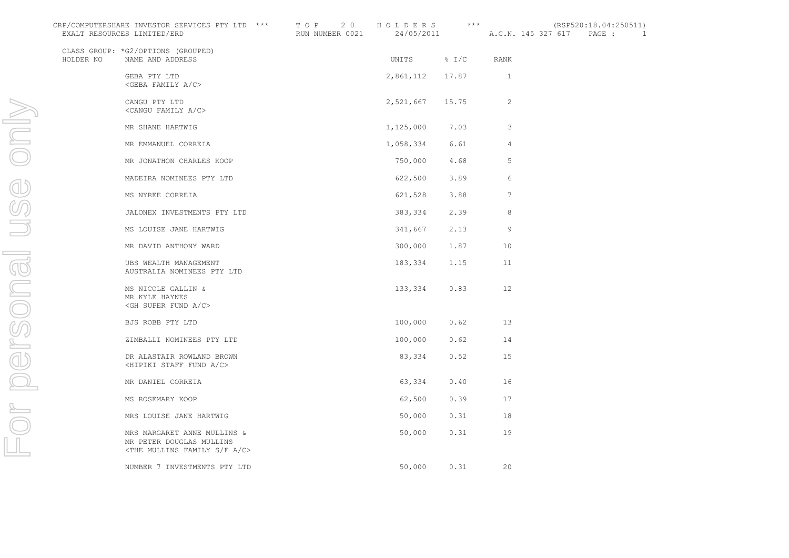| CRP/COMPUTERSHARE INVESTOR SERVICES PTY LTD *** TOP 20 HOLDERS *** (RSP520:18.04:250511)<br>EXALT RESOURCES LIMITED/ERD |                                                                                                                 | RUN NUMBER 0021 24/05/2011 A.C.N. 145 327 617 PAGE: 1 |                   |           |                 |  |  |
|-------------------------------------------------------------------------------------------------------------------------|-----------------------------------------------------------------------------------------------------------------|-------------------------------------------------------|-------------------|-----------|-----------------|--|--|
| HOLDER NO                                                                                                               | CLASS GROUP: *G2/OPTIONS (GROUPED)<br>NAME AND ADDRESS                                                          |                                                       | UNITS % I/C       |           | RANK            |  |  |
|                                                                                                                         | GEBA PTY LTD<br><geba a="" c="" family=""></geba>                                                               |                                                       | 2,861,112 17.87 1 |           |                 |  |  |
|                                                                                                                         | CANGU PTY LTD<br><cangu a="" c="" family=""></cangu>                                                            |                                                       | 2,521,667 15.75   |           | 2               |  |  |
|                                                                                                                         | MR SHANE HARTWIG                                                                                                |                                                       | 1, 125, 000 7.03  |           | $\mathbf{3}$    |  |  |
|                                                                                                                         | MR EMMANUEL CORREIA                                                                                             |                                                       | 1,058,334         | 6.61      | 4               |  |  |
|                                                                                                                         | MR JONATHON CHARLES KOOP                                                                                        |                                                       | 750,000           | 4.68      | 5               |  |  |
|                                                                                                                         | MADEIRA NOMINEES PTY LTD                                                                                        |                                                       | 622,500 3.89      |           | 6               |  |  |
|                                                                                                                         | MS NYREE CORREIA                                                                                                |                                                       | 621,528           | 3.88      | $7\overline{ }$ |  |  |
|                                                                                                                         | JALONEX INVESTMENTS PTY LTD                                                                                     |                                                       | 383,334           | 2.39      | 8               |  |  |
|                                                                                                                         | MS LOUISE JANE HARTWIG                                                                                          |                                                       | 341,667           | 2.13      | 9               |  |  |
|                                                                                                                         | MR DAVID ANTHONY WARD                                                                                           |                                                       | 300,000           | 1.87      | 10              |  |  |
|                                                                                                                         | UBS WEALTH MANAGEMENT<br>AUSTRALIA NOMINEES PTY LTD                                                             |                                                       | 183,334           | 1.15      | 11              |  |  |
|                                                                                                                         | MS NICOLE GALLIN &<br>MR KYLE HAYNES<br>$\le$ GH SUPER FUND A/C>                                                |                                                       | 133,334           | 0.83      | 12              |  |  |
|                                                                                                                         | BJS ROBB PTY LTD                                                                                                |                                                       | 100,000 0.62 13   |           |                 |  |  |
|                                                                                                                         | ZIMBALLI NOMINEES PTY LTD                                                                                       |                                                       | 100,000           | $0.62$ 14 |                 |  |  |
|                                                                                                                         | DR ALASTAIR ROWLAND BROWN<br><hipiki a="" c="" fund="" staff=""></hipiki>                                       |                                                       | 83,334            | $0.52$ 15 |                 |  |  |
|                                                                                                                         | MR DANIEL CORREIA                                                                                               |                                                       | 63,334            | $0.40$ 16 |                 |  |  |
|                                                                                                                         | MS ROSEMARY KOOP                                                                                                |                                                       | 62,500            | 0.39      | 17              |  |  |
|                                                                                                                         | MRS LOUISE JANE HARTWIG                                                                                         |                                                       | 50,000            | $0.31$ 18 |                 |  |  |
|                                                                                                                         | MRS MARGARET ANNE MULLINS &<br>MR PETER DOUGLAS MULLINS<br><the a="" c="" f="" family="" mullins="" s=""></the> |                                                       | 50,000            | 0.31      | 19              |  |  |
|                                                                                                                         | NUMBER 7 INVESTMENTS PTY LTD                                                                                    |                                                       | 50,000            | 0.31      | 20              |  |  |